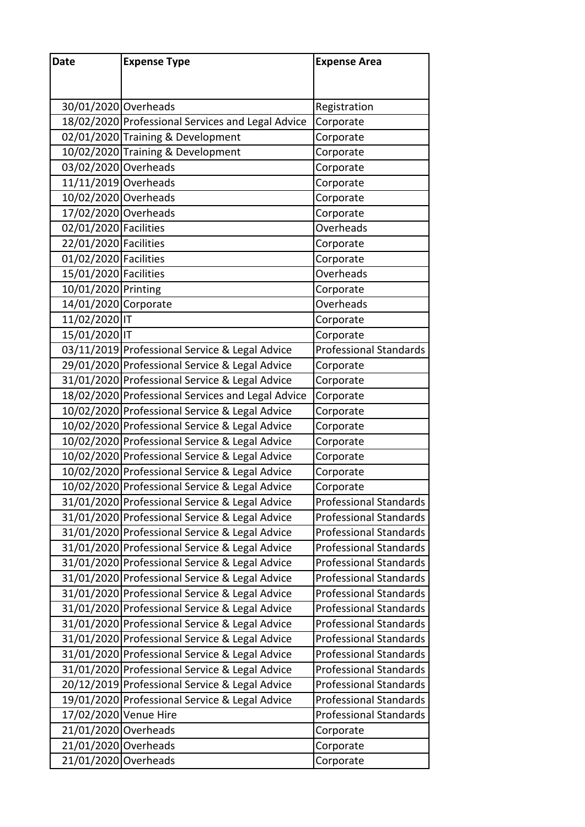| Date                  | <b>Expense Type</b>                               | <b>Expense Area</b>           |  |
|-----------------------|---------------------------------------------------|-------------------------------|--|
|                       |                                                   |                               |  |
|                       |                                                   |                               |  |
| 30/01/2020 Overheads  |                                                   | Registration                  |  |
|                       | 18/02/2020 Professional Services and Legal Advice | Corporate                     |  |
|                       | 02/01/2020 Training & Development                 | Corporate                     |  |
|                       | 10/02/2020 Training & Development                 | Corporate                     |  |
| 03/02/2020 Overheads  |                                                   | Corporate                     |  |
| 11/11/2019 Overheads  |                                                   | Corporate                     |  |
| 10/02/2020 Overheads  |                                                   | Corporate                     |  |
| 17/02/2020 Overheads  |                                                   | Corporate                     |  |
| 02/01/2020 Facilities |                                                   | Overheads                     |  |
| 22/01/2020 Facilities |                                                   | Corporate                     |  |
| 01/02/2020 Facilities |                                                   | Corporate                     |  |
| 15/01/2020 Facilities |                                                   | Overheads                     |  |
| 10/01/2020 Printing   |                                                   | Corporate                     |  |
| 14/01/2020 Corporate  |                                                   | Overheads                     |  |
| 11/02/2020 IT         |                                                   | Corporate                     |  |
| 15/01/2020 IT         |                                                   | Corporate                     |  |
|                       | 03/11/2019 Professional Service & Legal Advice    | <b>Professional Standards</b> |  |
|                       | 29/01/2020 Professional Service & Legal Advice    | Corporate                     |  |
|                       | 31/01/2020 Professional Service & Legal Advice    | Corporate                     |  |
|                       | 18/02/2020 Professional Services and Legal Advice | Corporate                     |  |
|                       | 10/02/2020 Professional Service & Legal Advice    | Corporate                     |  |
|                       | 10/02/2020 Professional Service & Legal Advice    | Corporate                     |  |
|                       | 10/02/2020 Professional Service & Legal Advice    | Corporate                     |  |
|                       | 10/02/2020 Professional Service & Legal Advice    | Corporate                     |  |
|                       | 10/02/2020 Professional Service & Legal Advice    | Corporate                     |  |
|                       | 10/02/2020 Professional Service & Legal Advice    | Corporate                     |  |
|                       | 31/01/2020 Professional Service & Legal Advice    | <b>Professional Standards</b> |  |
|                       | 31/01/2020 Professional Service & Legal Advice    | <b>Professional Standards</b> |  |
|                       | 31/01/2020 Professional Service & Legal Advice    | <b>Professional Standards</b> |  |
|                       | 31/01/2020 Professional Service & Legal Advice    | <b>Professional Standards</b> |  |
|                       | 31/01/2020 Professional Service & Legal Advice    | <b>Professional Standards</b> |  |
|                       | 31/01/2020 Professional Service & Legal Advice    | <b>Professional Standards</b> |  |
|                       | 31/01/2020 Professional Service & Legal Advice    | <b>Professional Standards</b> |  |
|                       | 31/01/2020 Professional Service & Legal Advice    | <b>Professional Standards</b> |  |
|                       | 31/01/2020 Professional Service & Legal Advice    | <b>Professional Standards</b> |  |
|                       | 31/01/2020 Professional Service & Legal Advice    | <b>Professional Standards</b> |  |
|                       | 31/01/2020 Professional Service & Legal Advice    | <b>Professional Standards</b> |  |
|                       | 31/01/2020 Professional Service & Legal Advice    | <b>Professional Standards</b> |  |
|                       | 20/12/2019 Professional Service & Legal Advice    | <b>Professional Standards</b> |  |
|                       | 19/01/2020 Professional Service & Legal Advice    | <b>Professional Standards</b> |  |
| 17/02/2020 Venue Hire |                                                   | <b>Professional Standards</b> |  |
| 21/01/2020 Overheads  |                                                   | Corporate                     |  |
| 21/01/2020 Overheads  |                                                   | Corporate                     |  |
| 21/01/2020 Overheads  |                                                   | Corporate                     |  |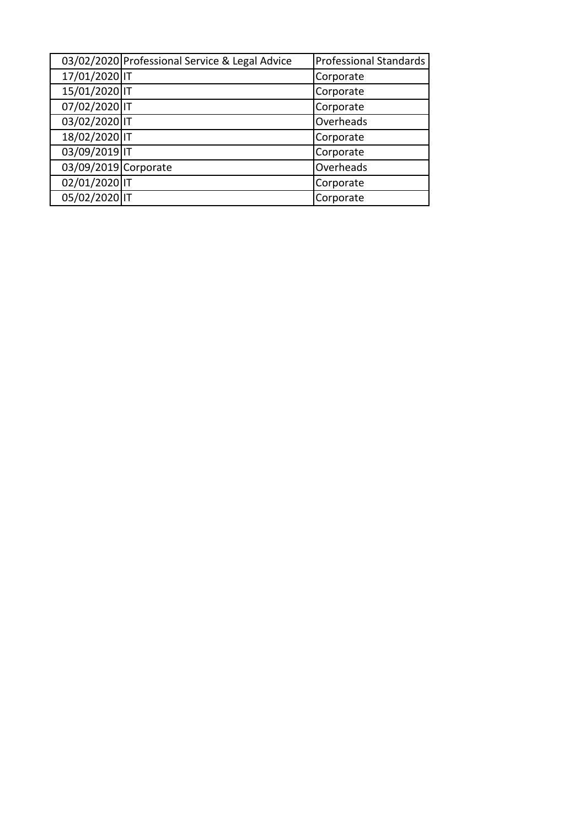|                      | 03/02/2020 Professional Service & Legal Advice | <b>Professional Standards</b> |  |
|----------------------|------------------------------------------------|-------------------------------|--|
| 17/01/2020 IT        |                                                | Corporate                     |  |
| 15/01/2020 IT        |                                                | Corporate                     |  |
| 07/02/2020 IT        |                                                | Corporate                     |  |
| 03/02/2020 IT        |                                                | Overheads                     |  |
| 18/02/2020 IT        |                                                | Corporate                     |  |
| 03/09/2019 IT        |                                                | Corporate                     |  |
| 03/09/2019 Corporate |                                                | Overheads                     |  |
| 02/01/2020 IT        |                                                | Corporate                     |  |
| 05/02/2020 IT        |                                                | Corporate                     |  |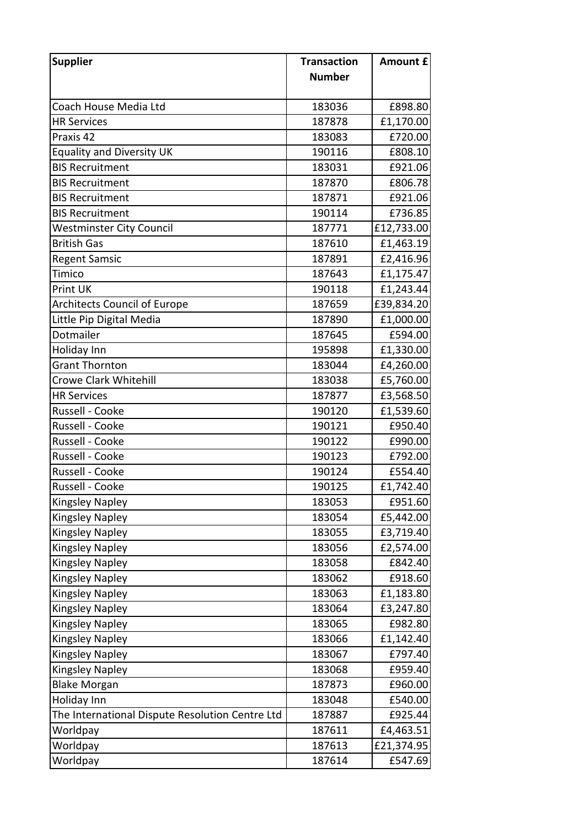| <b>Supplier</b>                                 | <b>Transaction</b> | <b>Amount £</b> |
|-------------------------------------------------|--------------------|-----------------|
|                                                 | <b>Number</b>      |                 |
|                                                 |                    |                 |
| Coach House Media Ltd                           | 183036             | £898.80         |
| <b>HR Services</b>                              | 187878             | £1,170.00       |
| Praxis 42                                       | 183083             | £720.00         |
| <b>Equality and Diversity UK</b>                | 190116             | £808.10         |
| <b>BIS Recruitment</b>                          | 183031             | £921.06         |
| <b>BIS Recruitment</b>                          | 187870             | £806.78         |
| <b>BIS Recruitment</b>                          | 187871             | £921.06         |
| <b>BIS Recruitment</b>                          | 190114             | £736.85         |
| <b>Westminster City Council</b>                 | 187771             | £12,733.00      |
| <b>British Gas</b>                              | 187610             | £1,463.19       |
| <b>Regent Samsic</b>                            | 187891             | £2,416.96       |
| Timico                                          | 187643             | £1,175.47       |
| Print UK                                        | 190118             | £1,243.44       |
| <b>Architects Council of Europe</b>             | 187659             | £39,834.20      |
| Little Pip Digital Media                        | 187890             | £1,000.00       |
| Dotmailer                                       | 187645             | £594.00         |
| Holiday Inn                                     | 195898             | £1,330.00       |
| <b>Grant Thornton</b>                           | 183044             | £4,260.00       |
| <b>Crowe Clark Whitehill</b>                    | 183038             | £5,760.00       |
| <b>HR Services</b>                              | 187877             | £3,568.50       |
| Russell - Cooke                                 | 190120             | £1,539.60       |
| Russell - Cooke                                 | 190121             | £950.40         |
| Russell - Cooke                                 | 190122             | £990.00         |
| Russell - Cooke                                 | 190123             | £792.00         |
| Russell - Cooke                                 | 190124             | £554.40         |
| Russell - Cooke                                 | 190125             | £1,742.40       |
| <b>Kingsley Napley</b>                          | 183053             | £951.60         |
| <b>Kingsley Napley</b>                          | 183054             | £5,442.00       |
| <b>Kingsley Napley</b>                          | 183055             | £3,719.40       |
| <b>Kingsley Napley</b>                          | 183056             | £2,574.00       |
| <b>Kingsley Napley</b>                          | 183058             | £842.40         |
| Kingsley Napley                                 | 183062             | £918.60         |
| <b>Kingsley Napley</b>                          | 183063             | £1,183.80       |
| <b>Kingsley Napley</b>                          | 183064             | £3,247.80       |
| Kingsley Napley                                 | 183065             | £982.80         |
| <b>Kingsley Napley</b>                          | 183066             | £1,142.40       |
| <b>Kingsley Napley</b>                          | 183067             | £797.40         |
| <b>Kingsley Napley</b>                          | 183068             | £959.40         |
| <b>Blake Morgan</b>                             | 187873             | £960.00         |
| Holiday Inn                                     | 183048             | £540.00         |
| The International Dispute Resolution Centre Ltd | 187887             | £925.44         |
| Worldpay                                        | 187611             | £4,463.51       |
| Worldpay                                        | 187613             | £21,374.95      |
| Worldpay                                        | 187614             | £547.69         |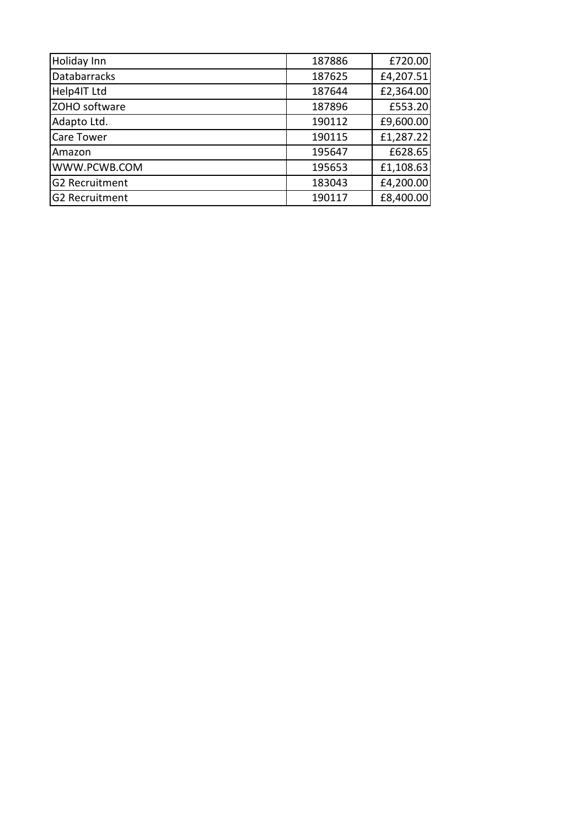| Holiday Inn           | 187886 | £720.00   |
|-----------------------|--------|-----------|
| Databarracks          | 187625 | £4,207.51 |
| Help4IT Ltd           | 187644 | £2,364.00 |
| ZOHO software         | 187896 | £553.20   |
| Adapto Ltd.           | 190112 | £9,600.00 |
| <b>Care Tower</b>     | 190115 | £1,287.22 |
| Amazon                | 195647 | £628.65   |
| WWW.PCWB.COM          | 195653 | £1,108.63 |
| <b>G2 Recruitment</b> | 183043 | £4,200.00 |
| <b>G2 Recruitment</b> | 190117 | £8,400.00 |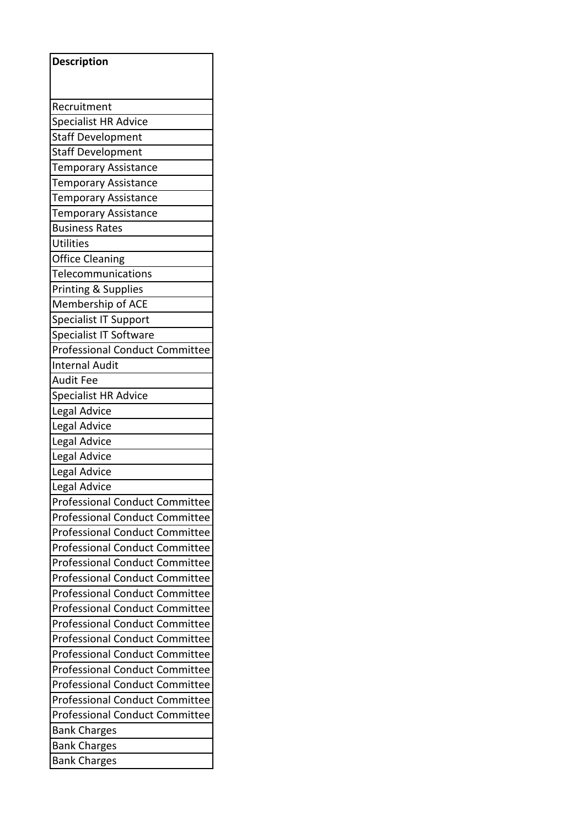| <b>Description</b>                    |  |  |
|---------------------------------------|--|--|
|                                       |  |  |
|                                       |  |  |
| Recruitment                           |  |  |
| Specialist HR Advice                  |  |  |
| <b>Staff Development</b>              |  |  |
| <b>Staff Development</b>              |  |  |
| Temporary Assistance                  |  |  |
| <b>Temporary Assistance</b>           |  |  |
| <b>Temporary Assistance</b>           |  |  |
| <b>Temporary Assistance</b>           |  |  |
| <b>Business Rates</b>                 |  |  |
| <b>Utilities</b>                      |  |  |
| <b>Office Cleaning</b>                |  |  |
| Telecommunications                    |  |  |
| Printing & Supplies                   |  |  |
| Membership of ACE                     |  |  |
| <b>Specialist IT Support</b>          |  |  |
| Specialist IT Software                |  |  |
| Professional Conduct Committee        |  |  |
| <b>Internal Audit</b>                 |  |  |
| <b>Audit Fee</b>                      |  |  |
| <b>Specialist HR Advice</b>           |  |  |
| Legal Advice                          |  |  |
| Legal Advice                          |  |  |
| Legal Advice                          |  |  |
| Legal Advice                          |  |  |
| Legal Advice                          |  |  |
| Legal Advice                          |  |  |
| Professional Conduct Committee        |  |  |
| <b>Professional Conduct Committee</b> |  |  |
| <b>Professional Conduct Committee</b> |  |  |
| <b>Professional Conduct Committee</b> |  |  |
| <b>Professional Conduct Committee</b> |  |  |
| <b>Professional Conduct Committee</b> |  |  |
| <b>Professional Conduct Committee</b> |  |  |
| <b>Professional Conduct Committee</b> |  |  |
| <b>Professional Conduct Committee</b> |  |  |
| <b>Professional Conduct Committee</b> |  |  |
| <b>Professional Conduct Committee</b> |  |  |
| <b>Professional Conduct Committee</b> |  |  |
| <b>Professional Conduct Committee</b> |  |  |
| <b>Professional Conduct Committee</b> |  |  |
| <b>Professional Conduct Committee</b> |  |  |
| <b>Bank Charges</b>                   |  |  |
| <b>Bank Charges</b>                   |  |  |
| <b>Bank Charges</b>                   |  |  |